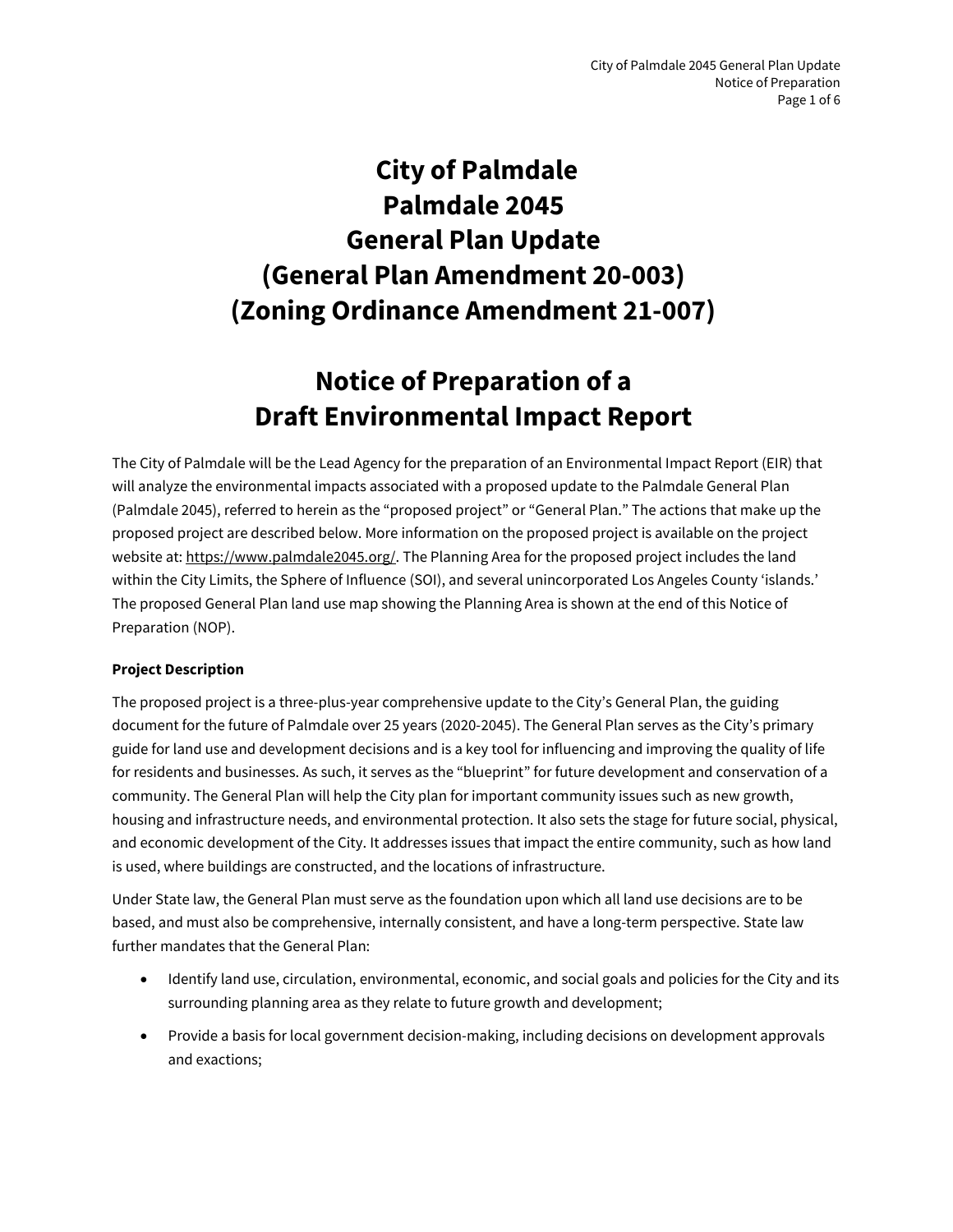# **City of Palmdale Palmdale 2045 General Plan Update (General Plan Amendment 20-003) (Zoning Ordinance Amendment 21-007)**

## **Notice of Preparation of a Draft Environmental Impact Report**

The City of Palmdale will be the Lead Agency for the preparation of an Environmental Impact Report (EIR) that will analyze the environmental impacts associated with a proposed update to the Palmdale General Plan (Palmdale 2045), referred to herein as the "proposed project" or "General Plan." The actions that make up the proposed project are described below. More information on the proposed project is available on the project website at: [https://www.palmdale2045.org/.](https://www.palmdale2045.org/) The Planning Area for the proposed project includes the land within the City Limits, the Sphere of Influence (SOI), and several unincorporated Los Angeles County 'islands.' The proposed General Plan land use map showing the Planning Area is shown at the end of this Notice of Preparation (NOP).

#### **Project Description**

The proposed project is a three-plus-year comprehensive update to the City's General Plan, the guiding document for the future of Palmdale over 25 years (2020-2045). The General Plan serves as the City's primary guide for land use and development decisions and is a key tool for influencing and improving the quality of life for residents and businesses. As such, it serves as the "blueprint" for future development and conservation of a community. The General Plan will help the City plan for important community issues such as new growth, housing and infrastructure needs, and environmental protection. It also sets the stage for future social, physical, and economic development of the City. It addresses issues that impact the entire community, such as how land is used, where buildings are constructed, and the locations of infrastructure.

Under State law, the General Plan must serve as the foundation upon which all land use decisions are to be based, and must also be comprehensive, internally consistent, and have a long-term perspective. State law further mandates that the General Plan:

- Identify land use, circulation, environmental, economic, and social goals and policies for the City and its surrounding planning area as they relate to future growth and development;
- Provide a basis for local government decision-making, including decisions on development approvals and exactions;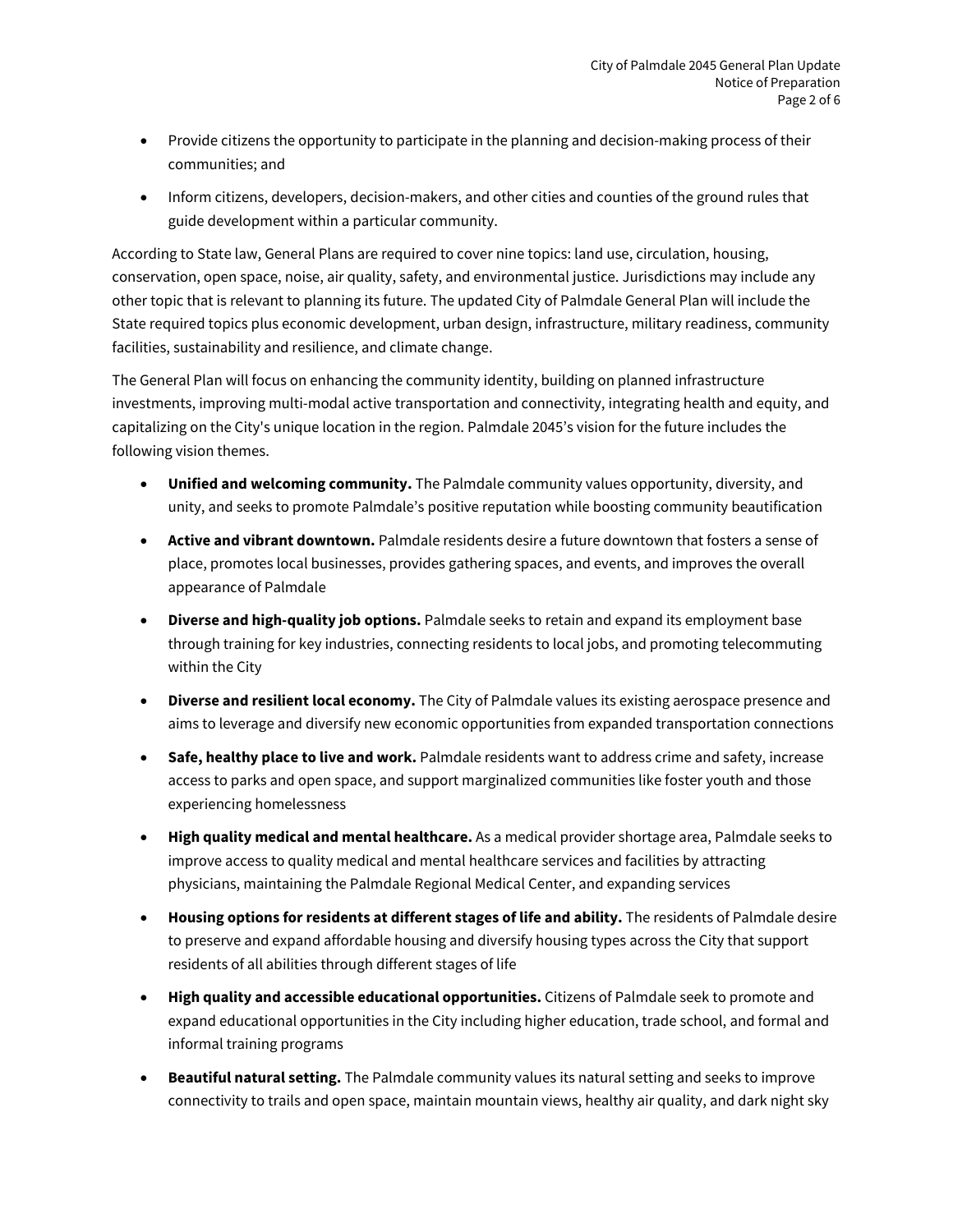- Provide citizens the opportunity to participate in the planning and decision-making process of their communities; and
- Inform citizens, developers, decision-makers, and other cities and counties of the ground rules that guide development within a particular community.

According to State law, General Plans are required to cover nine topics: land use, circulation, housing, conservation, open space, noise, air quality, safety, and environmental justice. Jurisdictions may include any other topic that is relevant to planning its future. The updated City of Palmdale General Plan will include the State required topics plus economic development, urban design, infrastructure, military readiness, community facilities, sustainability and resilience, and climate change.

The General Plan will focus on enhancing the community identity, building on planned infrastructure investments, improving multi-modal active transportation and connectivity, integrating health and equity, and capitalizing on the City's unique location in the region. Palmdale 2045's vision for the future includes the following vision themes.

- **Unified and welcoming community.** The Palmdale community values opportunity, diversity, and unity, and seeks to promote Palmdale's positive reputation while boosting community beautification
- **Active and vibrant downtown.** Palmdale residents desire a future downtown that fosters a sense of place, promotes local businesses, provides gathering spaces, and events, and improves the overall appearance of Palmdale
- **Diverse and high-quality job options.** Palmdale seeks to retain and expand its employment base through training for key industries, connecting residents to local jobs, and promoting telecommuting within the City
- **Diverse and resilient local economy.** The City of Palmdale values its existing aerospace presence and aims to leverage and diversify new economic opportunities from expanded transportation connections
- **Safe, healthy place to live and work.** Palmdale residents want to address crime and safety, increase access to parks and open space, and support marginalized communities like foster youth and those experiencing homelessness
- **High quality medical and mental healthcare.** As a medical provider shortage area, Palmdale seeks to improve access to quality medical and mental healthcare services and facilities by attracting physicians, maintaining the Palmdale Regional Medical Center, and expanding services
- **Housing options for residents at different stages of life and ability.** The residents of Palmdale desire to preserve and expand affordable housing and diversify housing types across the City that support residents of all abilities through different stages of life
- **High quality and accessible educational opportunities.** Citizens of Palmdale seek to promote and expand educational opportunities in the City including higher education, trade school, and formal and informal training programs
- **Beautiful natural setting.** The Palmdale community values its natural setting and seeks to improve connectivity to trails and open space, maintain mountain views, healthy air quality, and dark night sky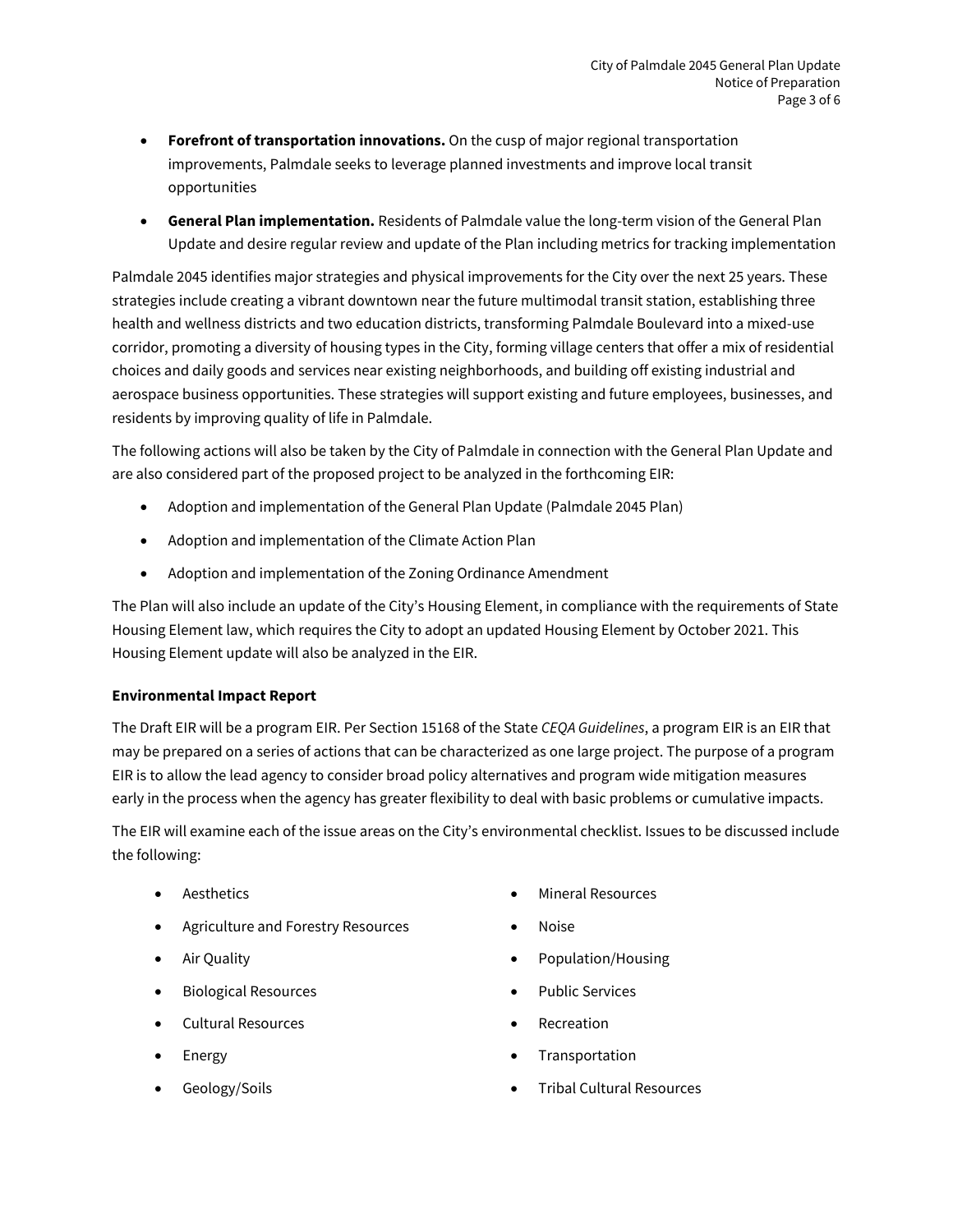- **Forefront of transportation innovations.** On the cusp of major regional transportation improvements, Palmdale seeks to leverage planned investments and improve local transit opportunities
- **General Plan implementation.** Residents of Palmdale value the long-term vision of the General Plan Update and desire regular review and update of the Plan including metrics for tracking implementation

Palmdale 2045 identifies major strategies and physical improvements for the City over the next 25 years. These strategies include creating a vibrant downtown near the future multimodal transit station, establishing three health and wellness districts and two education districts, transforming Palmdale Boulevard into a mixed-use corridor, promoting a diversity of housing types in the City, forming village centers that offer a mix of residential choices and daily goods and services near existing neighborhoods, and building off existing industrial and aerospace business opportunities. These strategies will support existing and future employees, businesses, and residents by improving quality of life in Palmdale.

The following actions will also be taken by the City of Palmdale in connection with the General Plan Update and are also considered part of the proposed project to be analyzed in the forthcoming EIR:

- Adoption and implementation of the General Plan Update (Palmdale 2045 Plan)
- Adoption and implementation of the Climate Action Plan
- Adoption and implementation of the Zoning Ordinance Amendment

The Plan will also include an update of the City's Housing Element, in compliance with the requirements of State Housing Element law, which requires the City to adopt an updated Housing Element by October 2021. This Housing Element update will also be analyzed in the EIR.

#### **Environmental Impact Report**

The Draft EIR will be a program EIR. Per Section 15168 of the State *CEQA Guidelines*, a program EIR is an EIR that may be prepared on a series of actions that can be characterized as one large project. The purpose of a program EIR is to allow the lead agency to consider broad policy alternatives and program wide mitigation measures early in the process when the agency has greater flexibility to deal with basic problems or cumulative impacts.

The EIR will examine each of the issue areas on the City's environmental checklist. Issues to be discussed include the following:

- 
- Agriculture and Forestry Resources Noise
- 
- Biological Resources Public Services
- **Cultural Resources •** Recreation
- 
- 
- Aesthetics Mineral Resources
	-
- Air Quality **Air Quality •** Population/Housing
	-
	-
- Energy **Energy Figure 1 Figure 1 Figure 1 Figure 1 Figure 1 Figure 1 Figure 1 Figure 1 Figure 1 Figure 1 Figure 1 Figure 1 Figure 1 Figure 1 Figure 1 Figure 1 Figure 1 Figure 1 Figure**
- Geology/Soils Tribal Cultural Resources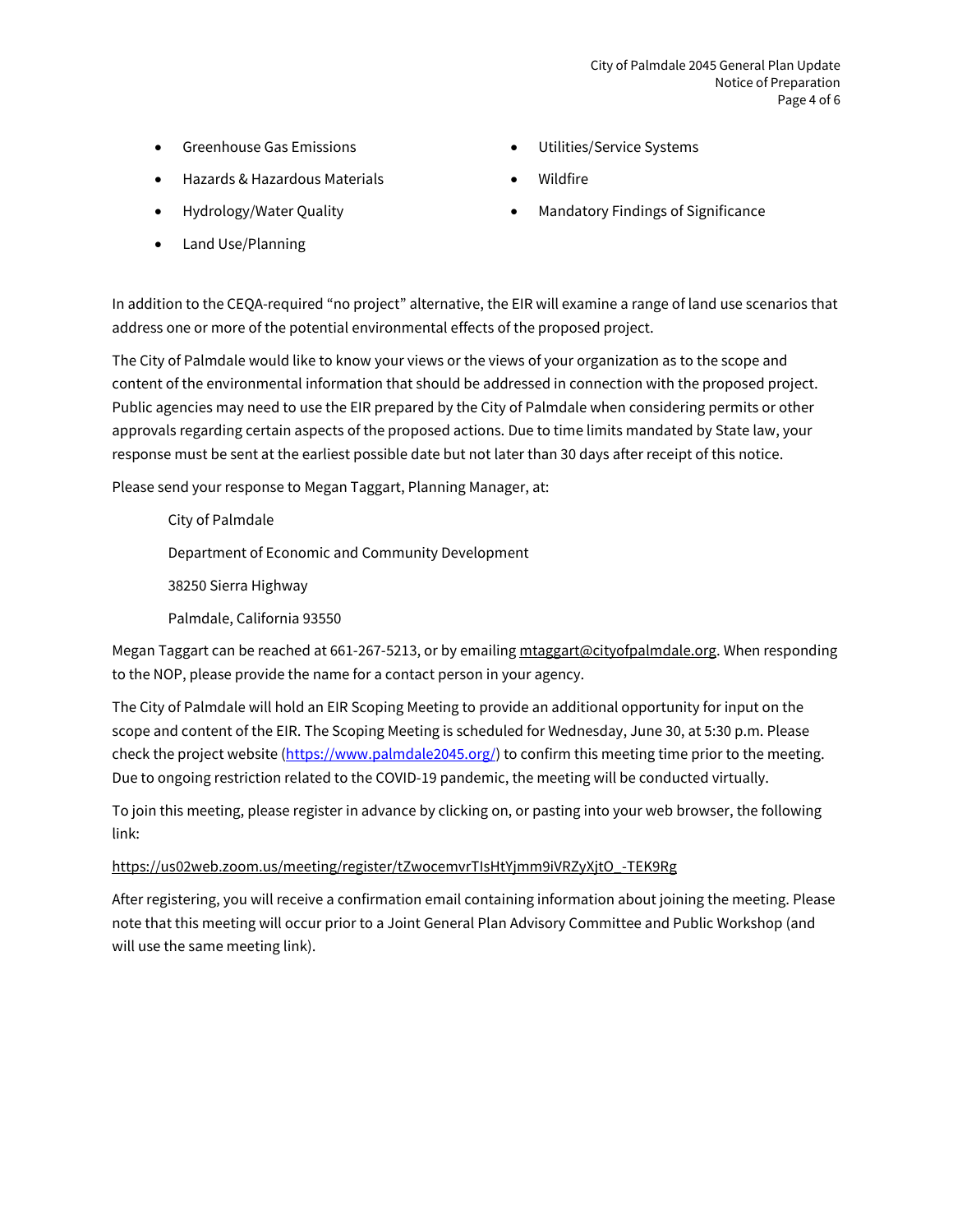- 
- Hazards & Hazardous Materials Wildfire
- 
- Land Use/Planning
- Greenhouse Gas Emissions Utilities/Service Systems
	-
- Hydrology/Water Quality  **Mandatory Findings of Significance**

In addition to the CEQA-required "no project" alternative, the EIR will examine a range of land use scenarios that address one or more of the potential environmental effects of the proposed project.

The City of Palmdale would like to know your views or the views of your organization as to the scope and content of the environmental information that should be addressed in connection with the proposed project. Public agencies may need to use the EIR prepared by the City of Palmdale when considering permits or other approvals regarding certain aspects of the proposed actions. Due to time limits mandated by State law, your response must be sent at the earliest possible date but not later than 30 days after receipt of this notice.

Please send your response to Megan Taggart, Planning Manager, at:

#### City of Palmdale

Department of Economic and Community Development

38250 Sierra Highway

Palmdale, California 93550

Megan Taggart can be reached at 661-267-5213, or by emailing [mtaggart@cityofpalmdale.org.](mailto:mtaggart@cityofpalmdale.org) When responding to the NOP, please provide the name for a contact person in your agency.

The City of Palmdale will hold an EIR Scoping Meeting to provide an additional opportunity for input on the scope and content of the EIR. The Scoping Meeting is scheduled for Wednesday, June 30, at 5:30 p.m. Please check the project website (https://www.palmdale2045.org/) to confirm this meeting time prior to the meeting. Due to ongoing restriction related to the COVID-19 pandemic, the meeting will be conducted virtually.

To join this meeting, please register in advance by clicking on, or pasting into your web browser, the following link:

#### [https://us02web.zoom.us/meeting/register/tZwocemvrTIsHtYjmm9iVRZyXjtO\\_-TEK9Rg](https://us02web.zoom.us/meeting/register/tZwocemvrTIsHtYjmm9iVRZyXjtO_-TEK9Rg)

After registering, you will receive a confirmation email containing information about joining the meeting. Please note that this meeting will occur prior to a Joint General Plan Advisory Committee and Public Workshop (and will use the same meeting link).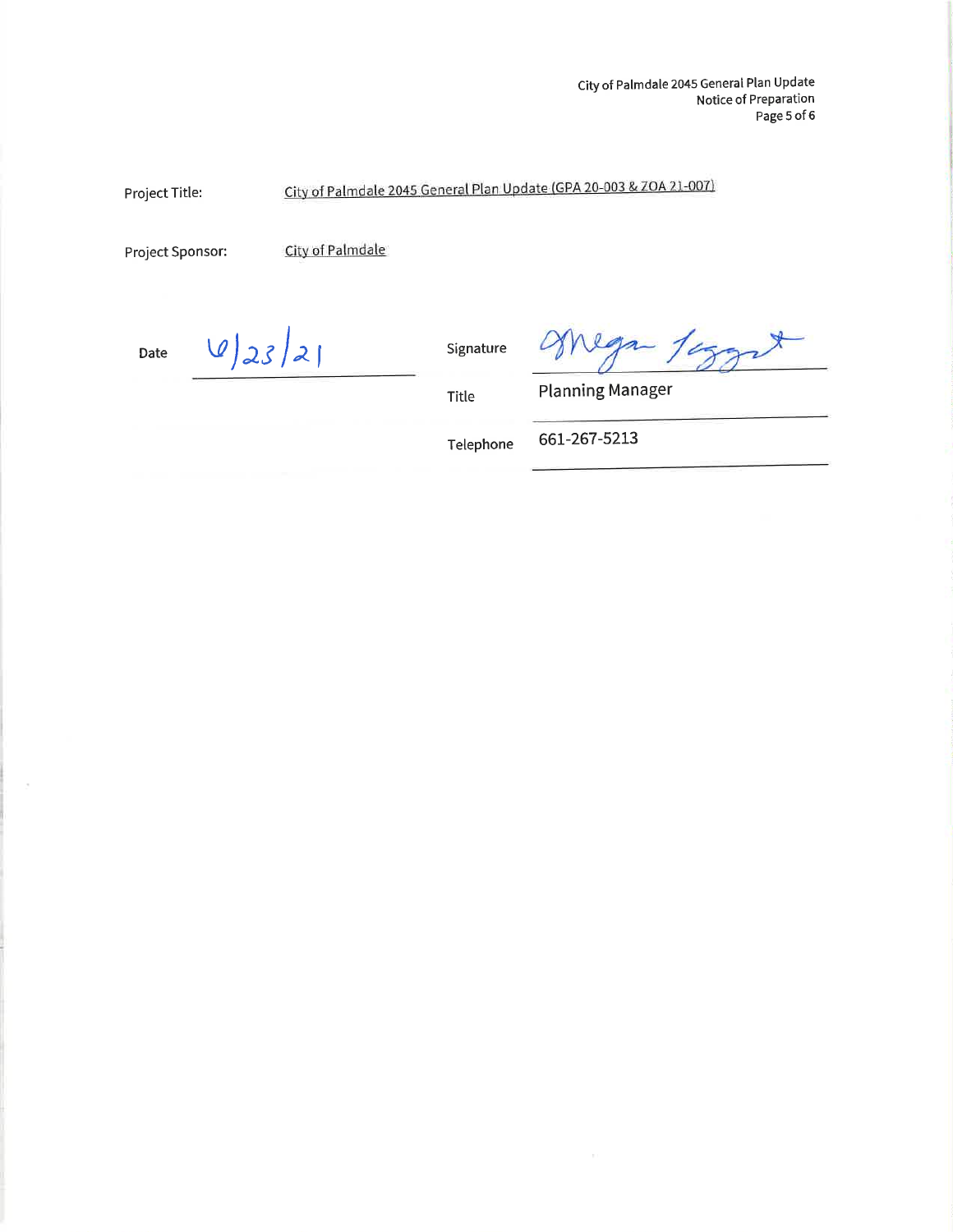City of Palmdale 2045 General Plan Update Notice of Preparation<br>Page 5 of 6

Project Title:

City of Palmdale 2045 General Plan Update (GPA 20-003 & ZOA 21-007)

Project Sponsor:

**City of Palmdale** 

Date

 $|0|23|21$ 

Signature

 $147$ ═

Title

**Planning Manager** 

Telephone

661-267-5213